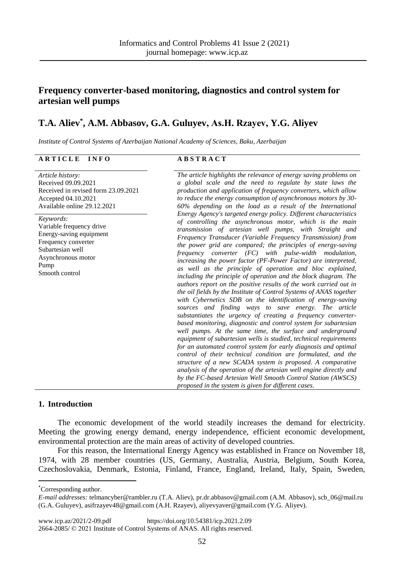# **Frequency converter-based monitoring, diagnostics and control system for artesian well pumps**

# **T.A. Aliev\* , A.M. Abbasov, G.A. Guluyev, Аs.H. Rzayev, Y.G. Aliyev**

*Institute of Control Systems of Azerbaijan National Academy of Sciences, Baku, Azerbaijan*

# **A R T I C L E I N F O A B S T R A C T**

| Article history:<br>Received 09.09.2021<br>Received in revised form 23.09.2021<br>Accepted 04.10.2021<br>Available online 29.12.2021                        | The article highlights the relevance of energy saving problems on<br>a global scale and the need to regulate by state laws the<br>production and application of frequency converters, which allow<br>to reduce the energy consumption of asynchronous motors by 30-<br>60% depending on the load as a result of the International<br>Energy Agency's targeted energy policy. Different characteristics<br>of controlling the asynchronous motor, which is the main<br>transmission of artesian well pumps, with Straight and<br>Frequency Transducer (Variable Frequency Transmission) from<br>the power grid are compared; the principles of energy-saving<br>$frequency$ converter $(FC)$ with pulse-width modulation,<br>increasing the power factor (PF-Power Factor) are interpreted,<br>as well as the principle of operation and bloc explained,<br>including the principle of operation and the block diagram. The<br>authors report on the positive results of the work carried out in<br>the oil fields by the Institute of Control Systems of ANAS together<br>with Cybernetics SDB on the identification of energy-saving<br>sources and finding ways to save energy. The article<br>substantiates the urgency of creating a frequency converter-<br>based monitoring, diagnostic and control system for subartesian<br>well pumps. At the same time, the surface and underground<br>equipment of subartesian wells is studied, technical requirements<br>for an automated control system for early diagnosis and optimal<br>control of their technical condition are formulated, and the<br>structure of a new SCADA system is proposed. A comparative<br>analysis of the operation of the artesian well engine directly and<br>by the FC-based Artesian Well Smooth Control Station (AWSCS) |
|-------------------------------------------------------------------------------------------------------------------------------------------------------------|-----------------------------------------------------------------------------------------------------------------------------------------------------------------------------------------------------------------------------------------------------------------------------------------------------------------------------------------------------------------------------------------------------------------------------------------------------------------------------------------------------------------------------------------------------------------------------------------------------------------------------------------------------------------------------------------------------------------------------------------------------------------------------------------------------------------------------------------------------------------------------------------------------------------------------------------------------------------------------------------------------------------------------------------------------------------------------------------------------------------------------------------------------------------------------------------------------------------------------------------------------------------------------------------------------------------------------------------------------------------------------------------------------------------------------------------------------------------------------------------------------------------------------------------------------------------------------------------------------------------------------------------------------------------------------------------------------------------------------------------------------------------------------------------------------------|
| Keywords:<br>Variable frequency drive<br>Energy-saving equipment<br>Frequency converter<br>Subartesian well<br>Asynchronous motor<br>Pump<br>Smooth control |                                                                                                                                                                                                                                                                                                                                                                                                                                                                                                                                                                                                                                                                                                                                                                                                                                                                                                                                                                                                                                                                                                                                                                                                                                                                                                                                                                                                                                                                                                                                                                                                                                                                                                                                                                                                           |
|                                                                                                                                                             | proposed in the system is given for different cases.                                                                                                                                                                                                                                                                                                                                                                                                                                                                                                                                                                                                                                                                                                                                                                                                                                                                                                                                                                                                                                                                                                                                                                                                                                                                                                                                                                                                                                                                                                                                                                                                                                                                                                                                                      |

## **1. Introduction**

The economic development of the world steadily increases the demand for electricity. Meeting the growing energy demand, energy independence, efficient economic development, environmental protection are the main areas of activity of developed countries.

For this reason, the International Energy Agency was established in France on November 18, 1974, with 28 member countries (US, Germany, Australia, Austria, Belgium, South Korea, Czechoslovakia, Denmark, Estonia, Finland, France, England, Ireland, Italy, Spain, Sweden,

1

[www.icp.az/2021/2-09.pdf](http://www.icp.az/2021/2-09.pdf) [https://doi.org/10.54381/icp.2021.2.09](https://www.doi.org/10.54381/icp.2021-2-01) [2664-2085/](https://portal.issn.org/resource/ISSN/2664-2085) © 2021 Institute of Control Systems of ANAS. All rights reserved.

<sup>\*</sup>Corresponding author.

*E-mail addresses:* telmancyber@rambler.ru (T.A. Aliev), [pr.dr.abbasov@gmail.com](mailto:pr.dr.abbasov@gmail.com) (A.M. Abbasov), [scb\\_06@mail.ru](mailto:scb_06@mail.ru) (G.A. Guluyev)[, asifrzayev48@gmail.com](mailto:asifrzayev48@gmail.com) (A.H. Rzayev), [aliyevyaver@gmail.com](mailto:aliyevyaver@gmail.com) (Y.G. Aliyev).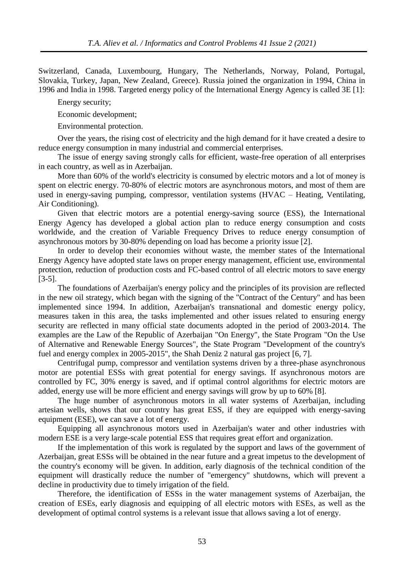Switzerland, Canada, Luxembourg, Hungary, The Netherlands, Norway, Poland, Portugal, Slovakia, Turkey, Japan, New Zealand, Greece). Russia joined the organization in 1994, China in 1996 and India in 1998. Targeted energy policy of the International Energy Agency is called 3E [1]:

Energy security;

Economic development;

Environmental protection.

Over the years, the rising cost of electricity and the high demand for it have created a desire to reduce energy consumption in many industrial and commercial enterprises.

The issue of energy saving strongly calls for efficient, waste-free operation of all enterprises in each country, as well as in Azerbaijan.

More than 60% of the world's electricity is consumed by electric motors and a lot of money is spent on electric energy. 70-80% of electric motors are asynchronous motors, and most of them are used in energy-saving pumping, compressor, ventilation systems (HVAC – Heating, Ventilating, Air Conditioning).

Given that electric motors are a potential energy-saving source (ESS), the International Energy Agency has developed a global action plan to reduce energy consumption and costs worldwide, and the creation of Variable Frequency Drives to reduce energy consumption of asynchronous motors by 30-80% depending on load has become a priority issue [2].

In order to develop their economies without waste, the member states of the International Energy Agency have adopted state laws on proper energy management, efficient use, environmental protection, reduction of production costs and FC-based control of all electric motors to save energy [3-5].

The foundations of Azerbaijan's energy policy and the principles of its provision are reflected in the new oil strategy, which began with the signing of the "Contract of the Century" and has been implemented since 1994. In addition, Azerbaijan's transnational and domestic energy policy, measures taken in this area, the tasks implemented and other issues related to ensuring energy security are reflected in many official state documents adopted in the period of 2003-2014. The examples are the Law of the Republic of Azerbaijan "On Energy", the State Program "On the Use of Alternative and Renewable Energy Sources", the State Program "Development of the country's fuel and energy complex in 2005-2015", the Shah Deniz 2 natural gas project [6, 7].

Centrifugal pump, compressor and ventilation systems driven by a three-phase asynchronous motor are potential ESSs with great potential for energy savings. If asynchronous motors are controlled by FC, 30% energy is saved, and if optimal control algorithms for electric motors are added, energy use will be more efficient and energy savings will grow by up to 60% [8].

The huge number of asynchronous motors in all water systems of Azerbaijan, including artesian wells, shows that our country has great ESS, if they are equipped with energy-saving equipment (ESE), we can save a lot of energy.

Equipping all asynchronous motors used in Azerbaijan's water and other industries with modern ESE is a very large-scale potential ESS that requires great effort and organization.

If the implementation of this work is regulated by the support and laws of the government of Azerbaijan, great ESSs will be obtained in the near future and a great impetus to the development of the country's economy will be given. In addition, early diagnosis of the technical condition of the equipment will drastically reduce the number of "emergency" shutdowns, which will prevent a decline in productivity due to timely irrigation of the field.

Therefore, the identification of ESSs in the water management systems of Azerbaijan, the creation of ESEs, early diagnosis and equipping of all electric motors with ESEs, as well as the development of optimal control systems is a relevant issue that allows saving a lot of energy.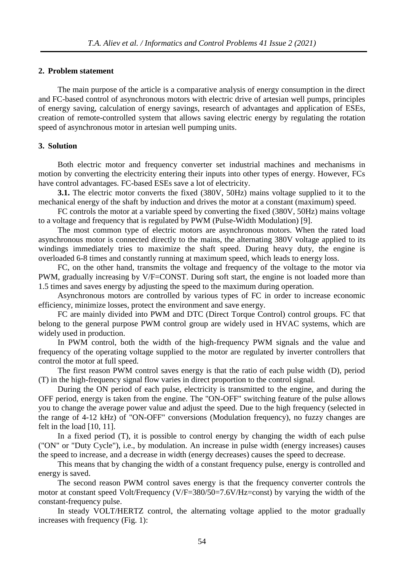#### **2. Problem statement**

The main purpose of the article is a comparative analysis of energy consumption in the direct and FC-based control of asynchronous motors with electric drive of artesian well pumps, principles of energy saving, calculation of energy savings, research of advantages and application of ESEs, creation of remote-controlled system that allows saving electric energy by regulating the rotation speed of asynchronous motor in artesian well pumping units.

## **3. Solution**

Both electric motor and frequency converter set industrial machines and mechanisms in motion by converting the electricity entering their inputs into other types of energy. However, FCs have control advantages. FC-based ESEs save a lot of electricity.

**3.1.** The electric motor converts the fixed (380V, 50Hz) mains voltage supplied to it to the mechanical energy of the shaft by induction and drives the motor at a constant (maximum) speed.

FC controls the motor at a variable speed by converting the fixed (380V, 50Hz) mains voltage to a voltage and frequency that is regulated by PWM (Pulse-Width Modulation) [9].

The most common type of electric motors are asynchronous motors. When the rated load asynchronous motor is connected directly to the mains, the alternating 380V voltage applied to its windings immediately tries to maximize the shaft speed. During heavy duty, the engine is overloaded 6-8 times and constantly running at maximum speed, which leads to energy loss.

FC, on the other hand, transmits the voltage and frequency of the voltage to the motor via PWM, gradually increasing by V/F=CONST. During soft start, the engine is not loaded more than 1.5 times and saves energy by adjusting the speed to the maximum during operation.

Asynchronous motors are controlled by various types of FC in order to increase economic efficiency, minimize losses, protect the environment and save energy.

FC are mainly divided into PWM and DTC (Direct Torque Control) control groups. FC that belong to the general purpose PWM control group are widely used in HVAC systems, which are widely used in production.

In PWM control, both the width of the high-frequency PWM signals and the value and frequency of the operating voltage supplied to the motor are regulated by inverter controllers that control the motor at full speed.

The first reason PWM control saves energy is that the ratio of each pulse width (D), period (T) in the high-frequency signal flow varies in direct proportion to the control signal.

During the ON period of each pulse, electricity is transmitted to the engine, and during the OFF period, energy is taken from the engine. The "ON-OFF" switching feature of the pulse allows you to change the average power value and adjust the speed. Due to the high frequency (selected in the range of 4-12 kHz) of "ON-OFF" conversions (Modulation frequency), no fuzzy changes are felt in the load [10, 11].

In a fixed period (T), it is possible to control energy by changing the width of each pulse ("ON" or "Duty Cycle"), i.e., by modulation. An increase in pulse width (energy increases) causes the speed to increase, and a decrease in width (energy decreases) causes the speed to decrease.

This means that by changing the width of a constant frequency pulse, energy is controlled and energy is saved.

The second reason PWM control saves energy is that the frequency converter controls the motor at constant speed Volt/Frequency (V/F=380/50=7.6V/Hz=const) by varying the width of the constant-frequency pulse.

In steady VOLT/HERTZ control, the alternating voltage applied to the motor gradually increases with frequency (Fig. 1):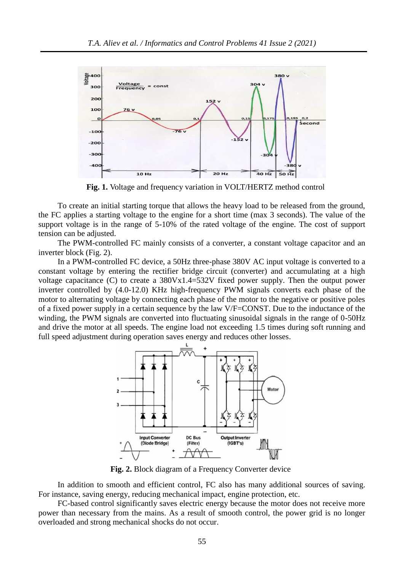

**Fig. 1.** Voltage and frequency variation in VOLT/HERTZ method control

To create an initial starting torque that allows the heavy load to be released from the ground, the FC applies a starting voltage to the engine for a short time (max 3 seconds). The value of the support voltage is in the range of 5-10% of the rated voltage of the engine. The cost of support tension can be adjusted.

The PWM-controlled FC mainly consists of a converter, a constant voltage capacitor and an inverter block (Fig. 2).

In a PWM-controlled FC device, a 50Hz three-phase 380V AC input voltage is converted to a constant voltage by entering the rectifier bridge circuit (converter) and accumulating at a high voltage capacitance (C) to create a 380Vx1.4=532V fixed power supply. Then the output power inverter controlled by (4.0-12.0) KHz high-frequency PWM signals converts each phase of the motor to alternating voltage by connecting each phase of the motor to the negative or positive poles of a fixed power supply in a certain sequence by the law V/F=CONST. Due to the inductance of the winding, the PWM signals are converted into fluctuating sinusoidal signals in the range of 0-50Hz and drive the motor at all speeds. The engine load not exceeding 1.5 times during soft running and full speed adjustment during operation saves energy and reduces other losses.



**Fig. 2.** Block diagram of a Frequency Converter device

In addition to smooth and efficient control, FC also has many additional sources of saving. For instance, saving energy, reducing mechanical impact, engine protection, etc.

FC-based control significantly saves electric energy because the motor does not receive more power than necessary from the mains. As a result of smooth control, the power grid is no longer overloaded and strong mechanical shocks do not occur.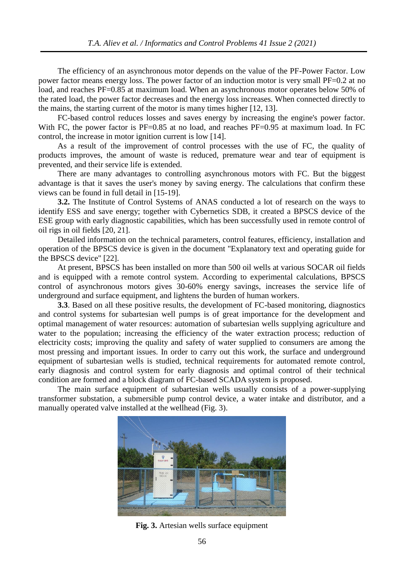The efficiency of an asynchronous motor depends on the value of the PF-Power Factor. Low power factor means energy loss. The power factor of an induction motor is very small PF=0.2 at no load, and reaches PF=0.85 at maximum load. When an asynchronous motor operates below 50% of the rated load, the power factor decreases and the energy loss increases. When connected directly to the mains, the starting current of the motor is many times higher [12, 13].

FC-based control reduces losses and saves energy by increasing the engine's power factor. With FC, the power factor is PF=0.85 at no load, and reaches PF=0.95 at maximum load. In FC control, the increase in motor ignition current is low [14].

As a result of the improvement of control processes with the use of FC, the quality of products improves, the amount of waste is reduced, premature wear and tear of equipment is prevented, and their service life is extended.

There are many advantages to controlling asynchronous motors with FC. But the biggest advantage is that it saves the user's money by saving energy. The calculations that confirm these views can be found in full detail in [15-19].

**3.2.** The Institute of Control Systems of ANAS conducted a lot of research on the ways to identify ESS and save energy; together with Cybernetics SDB, it created a BPSCS device of the ESE group with early diagnostic capabilities, which has been successfully used in remote control of oil rigs in oil fields [20, 21].

Detailed information on the technical parameters, control features, efficiency, installation and operation of the BPSCS device is given in the document "Explanatory text and operating guide for the BPSCS device" [22].

At present, BPSCS has been installed on more than 500 oil wells at various SOCAR oil fields and is equipped with a remote control system. According to experimental calculations, BPSCS control of asynchronous motors gives 30-60% energy savings, increases the service life of underground and surface equipment, and lightens the burden of human workers.

**3.3**. Based on all these positive results, the development of FC-based monitoring, diagnostics and control systems for subartesian well pumps is of great importance for the development and optimal management of water resources: automation of subartesian wells supplying agriculture and water to the population; increasing the efficiency of the water extraction process; reduction of electricity costs; improving the quality and safety of water supplied to consumers are among the most pressing and important issues. In order to carry out this work, the surface and underground equipment of subartesian wells is studied, technical requirements for automated remote control, early diagnosis and control system for early diagnosis and optimal control of their technical condition are formed and a block diagram of FC-based SCADA system is proposed.

The main surface equipment of subartesian wells usually consists of a power-supplying transformer substation, a submersible pump control device, a water intake and distributor, and a manually operated valve installed at the wellhead (Fig. 3).



**Fig. 3.** Artesian wells surface equipment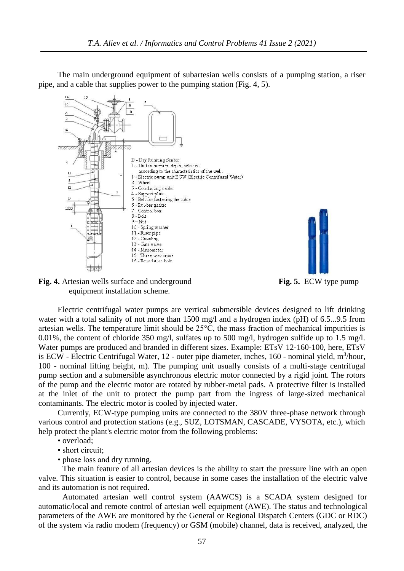The main underground equipment of subartesian wells consists of a pumping station, a riser pipe, and a cable that supplies power to the pumping station (Fig. 4, 5).



**Fig. 4.** Artesian wells surface and underground **Fig. 5.** ECW type pump equipment installation scheme.



Electric centrifugal water pumps are vertical submersible devices designed to lift drinking water with a total salinity of not more than 1500 mg/l and a hydrogen index (pH) of 6.5...9.5 from

artesian wells. The temperature limit should be 25°C, the mass fraction of mechanical impurities is 0.01%, the content of chloride 350 mg/l, sulfates up to 500 mg/l, hydrogen sulfide up to 1.5 mg/l. Water pumps are produced and branded in different sizes. Example: ETsV 12-160-100, here, ETsV is ECW - Electric Centrifugal Water, 12 - outer pipe diameter, inches, 160 - nominal yield,  $m^3/hour$ , 100 - nominal lifting height, m). The pumping unit usually consists of a multi-stage centrifugal pump section and a submersible asynchronous electric motor connected by a rigid joint. The rotors of the pump and the electric motor are rotated by rubber-metal pads. A protective filter is installed at the inlet of the unit to protect the pump part from the ingress of large-sized mechanical contaminants. The electric motor is cooled by injected water.

Currently, ECW-type pumping units are connected to the 380V three-phase network through various control and protection stations (e.g., SUZ, LOTSMAN, CASCADE, VYSOTA, etc.), which help protect the plant's electric motor from the following problems:

- overload;
- short circuit:
- phase loss and dry running.

The main feature of all artesian devices is the ability to start the pressure line with an open valve. This situation is easier to control, because in some cases the installation of the electric valve and its automation is not required.

Automated artesian well control system (AAWCS) is a SCADA system designed for automatic/local and remote control of artesian well equipment (AWE). The status and technological parameters of the AWE are monitored by the General or Regional Dispatch Centers (GDC or RDC) of the system via radio modem (frequency) or GSM (mobile) channel, data is received, analyzed, the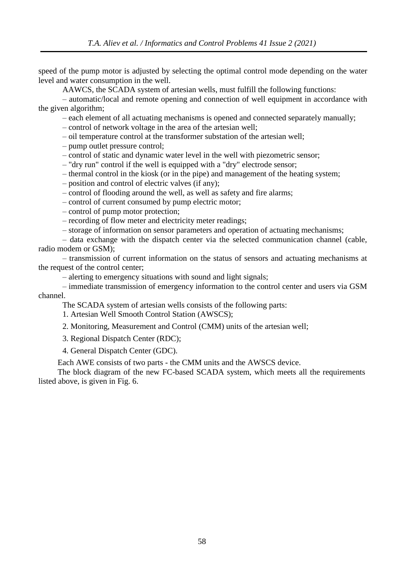speed of the pump motor is adjusted by selecting the optimal control mode depending on the water level and water consumption in the well.

AAWCS, the SCADA system of artesian wells, must fulfill the following functions:

– automatic/local and remote opening and connection of well equipment in accordance with the given algorithm;

– each element of all actuating mechanisms is opened and connected separately manually;

– control of network voltage in the area of the artesian well;

– oil temperature control at the transformer substation of the artesian well;

– pump outlet pressure control;

– control of static and dynamic water level in the well with piezometric sensor;

– "dry run" control if the well is equipped with a "dry" electrode sensor;

– thermal control in the kiosk (or in the pipe) and management of the heating system;

– position and control of electric valves (if any);

– control of flooding around the well, as well as safety and fire alarms;

– control of current consumed by pump electric motor;

– control of pump motor protection;

– recording of flow meter and electricity meter readings;

– storage of information on sensor parameters and operation of actuating mechanisms;

– data exchange with the dispatch center via the selected communication channel (cable, radio modem or GSM);

– transmission of current information on the status of sensors and actuating mechanisms at the request of the control center;

– alerting to emergency situations with sound and light signals;

– immediate transmission of emergency information to the control center and users via GSM channel.

The SCADA system of artesian wells consists of the following parts:

1. Artesian Well Smooth Control Station (AWSCS);

2. Monitoring, Measurement and Control (CMM) units of the artesian well;

3. Regional Dispatch Center (RDC);

4. General Dispatch Center (GDC).

Each AWE consists of two parts - the CMM units and the AWSCS device.

The block diagram of the new FC-based SCADA system, which meets all the requirements listed above, is given in Fig. 6.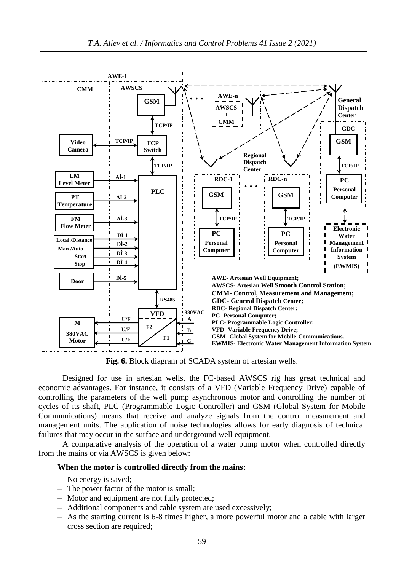

**Fig. 6.** Block diagram of SCADA system of artesian wells.

Designed for use in artesian wells, the FC-based AWSCS rig has great technical and economic advantages. For instance, it consists of a VFD (Variable Frequency Drive) capable of controlling the parameters of the well pump asynchronous motor and controlling the number of cycles of its shaft, PLC (Programmable Logic Controller) and GSM (Global System for Mobile Communications) means that receive and analyze signals from the control measurement and management units. The application of noise technologies allows for early diagnosis of technical failures that may occur in the surface and underground well equipment.

A comparative analysis of the operation of a water pump motor when controlled directly from the mains or via AWSCS is given below:

#### **When the motor is controlled directly from the mains:**

- No energy is saved;
- The power factor of the motor is small;
- Motor and equipment are not fully protected;
- Additional components and cable system are used excessively;
- As the starting current is 6-8 times higher, a more powerful motor and a cable with larger cross section are required;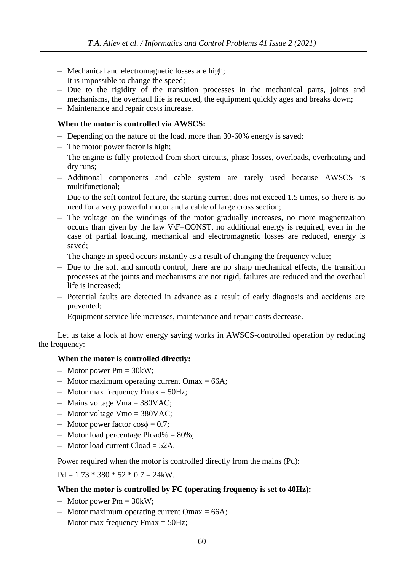- Mechanical and electromagnetic losses are high;
- It is impossible to change the speed;
- Due to the rigidity of the transition processes in the mechanical parts, joints and mechanisms, the overhaul life is reduced, the equipment quickly ages and breaks down;
- Maintenance and repair costs increase.

## **When the motor is controlled via AWSCS:**

- Depending on the nature of the load, more than 30-60% energy is saved;
- The motor power factor is high;
- The engine is fully protected from short circuits, phase losses, overloads, overheating and dry runs;
- Additional components and cable system are rarely used because AWSCS is multifunctional;
- Due to the soft control feature, the starting current does not exceed 1.5 times, so there is no need for a very powerful motor and a cable of large cross section;
- The voltage on the windings of the motor gradually increases, no more magnetization occurs than given by the law V\F=CONST, no additional energy is required, even in the case of partial loading, mechanical and electromagnetic losses are reduced, energy is saved;
- The change in speed occurs instantly as a result of changing the frequency value;
- Due to the soft and smooth control, there are no sharp mechanical effects, the transition processes at the joints and mechanisms are not rigid, failures are reduced and the overhaul life is increased;
- Potential faults are detected in advance as a result of early diagnosis and accidents are prevented;
- Equipment service life increases, maintenance and repair costs decrease.

Let us take a look at how energy saving works in AWSCS-controlled operation by reducing the frequency:

#### **When the motor is controlled directly:**

- $-$  Motor power Pm = 30kW;
- Motor maximum operating current Omax  $= 66A$ ;
- Motor max frequency Fmax  $= 50$ Hz;
- $-$  Mains voltage Vma = 380VAC;
- Motor voltage Vmo = 380VAC;
- Motor power factor cosϕ = 0.7;
- Motor load percentage Pload% = 80%;
- $-$  Motor load current Cload  $= 52A$ .

Power required when the motor is controlled directly from the mains (Pd):

 $Pd = 1.73 * 380 * 52 * 0.7 = 24$  kW.

#### **When the motor is controlled by FC (operating frequency is set to 40Hz):**

- Motor power  $Pm = 30kW$ ;
- Motor maximum operating current Omax =  $66A$ ;
- Motor max frequency Fmax  $=$  50Hz;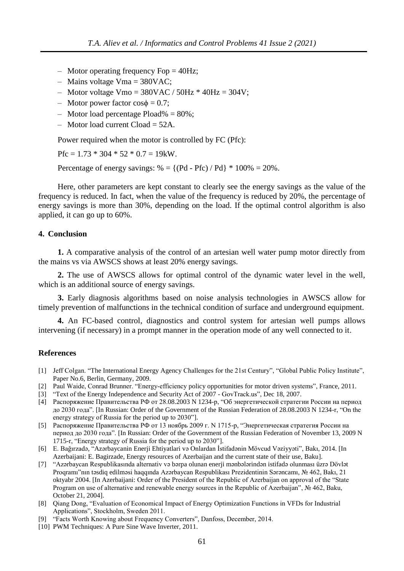- Motor operating frequency Fop  $=$  40Hz;
- Mains voltage Vma =  $380VAC$ ;
- Motor voltage Vmo =  $380$ VAC /  $50$ Hz  $*$  40Hz =  $304$ V;
- Motor power factor  $\cos \phi = 0.7$ ;
- Motor load percentage Pload% =  $80\%$ ;
- $-$  Motor load current Cload  $= 52A$ .

Power required when the motor is controlled by FC (Pfc):

 $Pfc = 1.73 * 304 * 52 * 0.7 = 19$  kW.

Percentage of energy savings:  $% = \{(Pd - Pfc) / Pd\} * 100\% = 20\%.$ 

Here, other parameters are kept constant to clearly see the energy savings as the value of the frequency is reduced. In fact, when the value of the frequency is reduced by 20%, the percentage of energy savings is more than 30%, depending on the load. If the optimal control algorithm is also applied, it can go up to 60%.

#### **4. Conclusion**

**1.** A comparative analysis of the control of an artesian well water pump motor directly from the mains vs via AWSCS shows at least 20% energy savings.

**2.** The use of AWSCS allows for optimal control of the dynamic water level in the well, which is an additional source of energy savings.

**3.** Early diagnosis algorithms based on noise analysis technologies in AWSCS allow for timely prevention of malfunctions in the technical condition of surface and underground equipment.

**4.** An FC-based control, diagnostics and control system for artesian well pumps allows intervening (if necessary) in a prompt manner in the operation mode of any well connected to it.

#### **References**

- [1] Jeff Colgan. "The International Energy Agency Challenges for the 21st Century", "Global Public Policy Institute", Paper No.6, Berlin, Germany, 2009.
- [2] Paul Waide, Conrad Brunner. "Energy-efficiency policy opportunities for motor driven systems", France, 2011.
- [3] "Text of the Energy Independence and Security Act of 2007 GovTrack.us", Dec 18, 2007.
- [4] Распоряжение Правительства РФ от 28.08.2003 N 1234-р, "Об энергетической стратегии России на период до 2030 года". [In Russian: Order of the Government of the Russian Federation of 28.08.2003 N 1234-r, "On the energy strategy of Russia for the period up to 2030"].
- [5] Распоряжение Правительства РФ от 13 ноябрь 2009 г. N 1715-р, "Энергетическая стратегия России на период до 2030 года". [In Russian: Order of the Government of the Russian Federation of November 13, 2009 N 1715-r, "Energy strategy of Russia for the period up to 2030"].
- [6] E. Bağırzadə, "Azərbaycanin Enerji Ehtiyatlari və Onlardan İstifadənin Mövcud Vəziyyəti", Bakı, 2014. [In Azerbaijani: E. Bagirzade, Energy resources of Azerbaijan and the current state of their use, Baku].
- [7] "Azərbaycan Respublikasında alternativ və bərpa olunan enerji mənbələrindən istifadə olunması üzrə Dövlət Proqramı"nın təsdiq edilməsi haqqında Azərbaycan Respublikası Prezidentinin Sərəncamı, № 462, Bakı, 21 oktyabr 2004. [In Azerbaijani: Order of the President of the Republic of Azerbaijan on approval of the "State Program on use of alternative and renewable energy sources in the Republic of Azerbaijan", № 462, Baku, October 21, 2004].
- [8] Qiang Dong, "Evaluation of Economical Impact of Energy Optimization Functions in VFDs for Industrial Applications", Stockholm, Sweden 2011.
- [9] "Facts Worth Knowing about Frequency Converters", Danfoss, December, 2014.
- [10] PWM Techniques: A Pure Sine Wave Inverter, 2011.